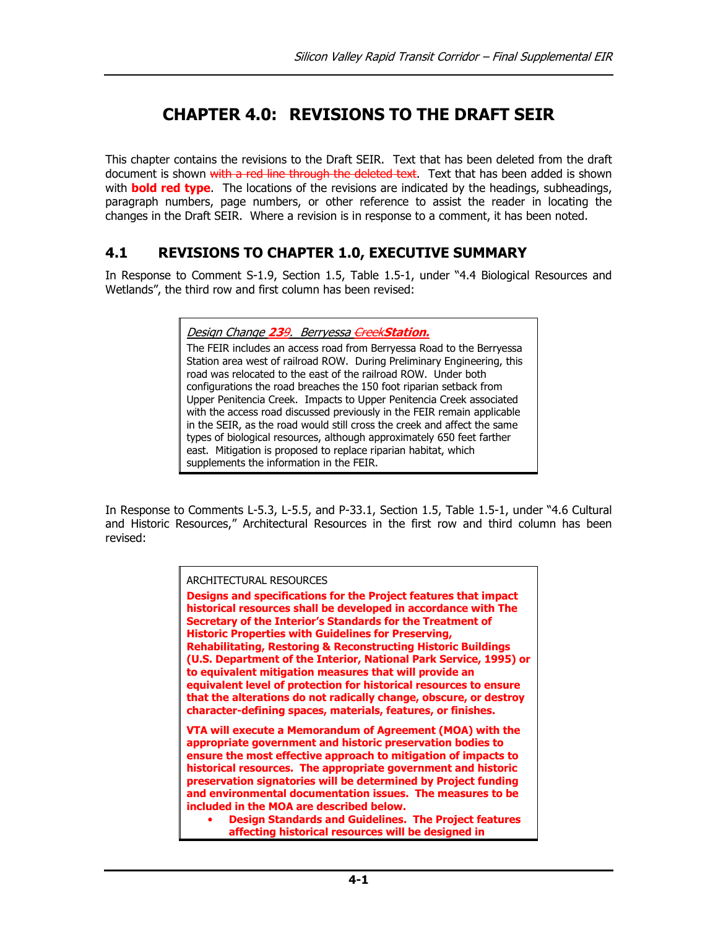# CHAPTER 4.0: REVISIONS TO THE DRAFT SEIR

This chapter contains the revisions to the Draft SEIR. Text that has been deleted from the draft document is shown with a red line through the deleted text. Text that has been added is shown with **bold red type**. The locations of the revisions are indicated by the headings, subheadings, paragraph numbers, page numbers, or other reference to assist the reader in locating the changes in the Draft SEIR. Where a revision is in response to a comment, it has been noted.

# 4.1 REVISIONS TO CHAPTER 1.0, EXECUTIVE SUMMARY

In Response to Comment S-1.9, Section 1.5, Table 1.5-1, under "4.4 Biological Resources and Wetlands", the third row and first column has been revised:

| Design Change 239. Berryessa <del>Creek</del> Station.                                                                                                                                                                                                                                                                                                                                                                                                                                      |
|---------------------------------------------------------------------------------------------------------------------------------------------------------------------------------------------------------------------------------------------------------------------------------------------------------------------------------------------------------------------------------------------------------------------------------------------------------------------------------------------|
| The FEIR includes an access road from Berryessa Road to the Berryessa<br>Station area west of railroad ROW. During Preliminary Engineering, this<br>road was relocated to the east of the railroad ROW. Under both                                                                                                                                                                                                                                                                          |
| configurations the road breaches the 150 foot riparian setback from<br>Upper Penitencia Creek. Impacts to Upper Penitencia Creek associated<br>with the access road discussed previously in the FEIR remain applicable<br>in the SEIR, as the road would still cross the creek and affect the same<br>types of biological resources, although approximately 650 feet farther<br>east. Mitigation is proposed to replace riparian habitat, which<br>supplements the information in the FEIR. |

In Response to Comments L-5.3, L-5.5, and P-33.1, Section 1.5, Table 1.5-1, under "4.6 Cultural and Historic Resources," Architectural Resources in the first row and third column has been revised:

| ARCHITECTURAL RESOURCES<br>Designs and specifications for the Project features that impact<br>historical resources shall be developed in accordance with The<br>Secretary of the Interior's Standards for the Treatment of<br><b>Historic Properties with Guidelines for Preserving,</b><br><b>Rehabilitating, Restoring &amp; Reconstructing Historic Buildings</b><br>(U.S. Department of the Interior, National Park Service, 1995) or<br>to equivalent mitigation measures that will provide an<br>equivalent level of protection for historical resources to ensure<br>that the alterations do not radically change, obscure, or destroy<br>character-defining spaces, materials, features, or finishes. |
|---------------------------------------------------------------------------------------------------------------------------------------------------------------------------------------------------------------------------------------------------------------------------------------------------------------------------------------------------------------------------------------------------------------------------------------------------------------------------------------------------------------------------------------------------------------------------------------------------------------------------------------------------------------------------------------------------------------|
| VTA will execute a Memorandum of Agreement (MOA) with the<br>appropriate government and historic preservation bodies to<br>ensure the most effective approach to mitigation of impacts to<br>historical resources. The appropriate government and historic<br>preservation signatories will be determined by Project funding<br>and environmental documentation issues. The measures to be<br>included in the MOA are described below.<br><b>Design Standards and Guidelines. The Project features</b><br>affecting historical resources will be designed in                                                                                                                                                  |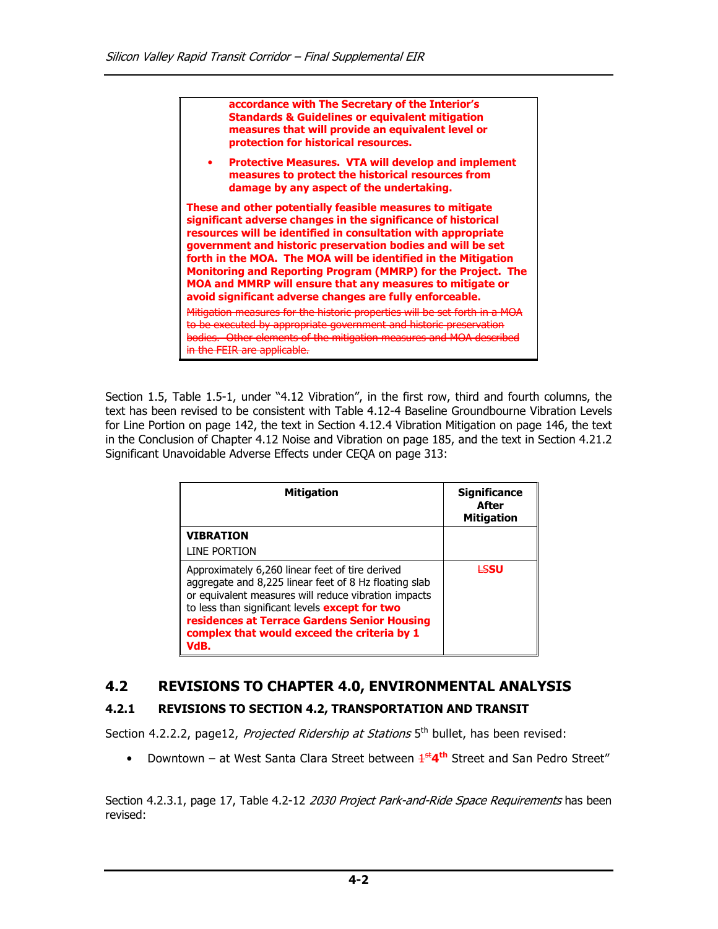accordance with The Secretary of the Interior's Standards & Guidelines or equivalent mitigation measures that will provide an equivalent level or protection for historical resources.

• Protective Measures. VTA will develop and implement measures to protect the historical resources from damage by any aspect of the undertaking.

These and other potentially feasible measures to mitigate significant adverse changes in the significance of historical resources will be identified in consultation with appropriate government and historic preservation bodies and will be set forth in the MOA. The MOA will be identified in the Mitigation Monitoring and Reporting Program (MMRP) for the Project. The MOA and MMRP will ensure that any measures to mitigate or avoid significant adverse changes are fully enforceable. Mitigation measures for the historic properties will be set forth in a MOA to be executed by appropriate government and historic preservation bodies. Other elements of the mitigation measures and MOA described in the FEIR are applicable.

Section 1.5, Table 1.5-1, under "4.12 Vibration", in the first row, third and fourth columns, the text has been revised to be consistent with Table 4.12-4 Baseline Groundbourne Vibration Levels for Line Portion on page 142, the text in Section 4.12.4 Vibration Mitigation on page 146, the text in the Conclusion of Chapter 4.12 Noise and Vibration on page 185, and the text in Section 4.21.2 Significant Unavoidable Adverse Effects under CEQA on page 313:

| <b>Mitigation</b>                                                                                                                                                                                                                                                                                                                | <b>Significance</b><br>After<br><b>Mitigation</b> |
|----------------------------------------------------------------------------------------------------------------------------------------------------------------------------------------------------------------------------------------------------------------------------------------------------------------------------------|---------------------------------------------------|
| <b>VIBRATION</b><br>LINE PORTION                                                                                                                                                                                                                                                                                                 |                                                   |
| Approximately 6,260 linear feet of tire derived<br>aggregate and 8,225 linear feet of 8 Hz floating slab<br>or equivalent measures will reduce vibration impacts<br>to less than significant levels <b>except for two</b><br>residences at Terrace Gardens Senior Housing<br>complex that would exceed the criteria by 1<br>VdB. | <b>HSSU</b>                                       |

# 4.2 REVISIONS TO CHAPTER 4.0, ENVIRONMENTAL ANALYSIS

## 4.2.1 REVISIONS TO SECTION 4.2, TRANSPORTATION AND TRANSIT

Section 4.2.2.2, page12, Projected Ridership at Stations 5<sup>th</sup> bullet, has been revised:

• Downtown – at West Santa Clara Street between  $4^{st}4^{th}$  Street and San Pedro Street"

Section 4.2.3.1, page 17, Table 4.2-12 2030 Project Park-and-Ride Space Requirements has been revised: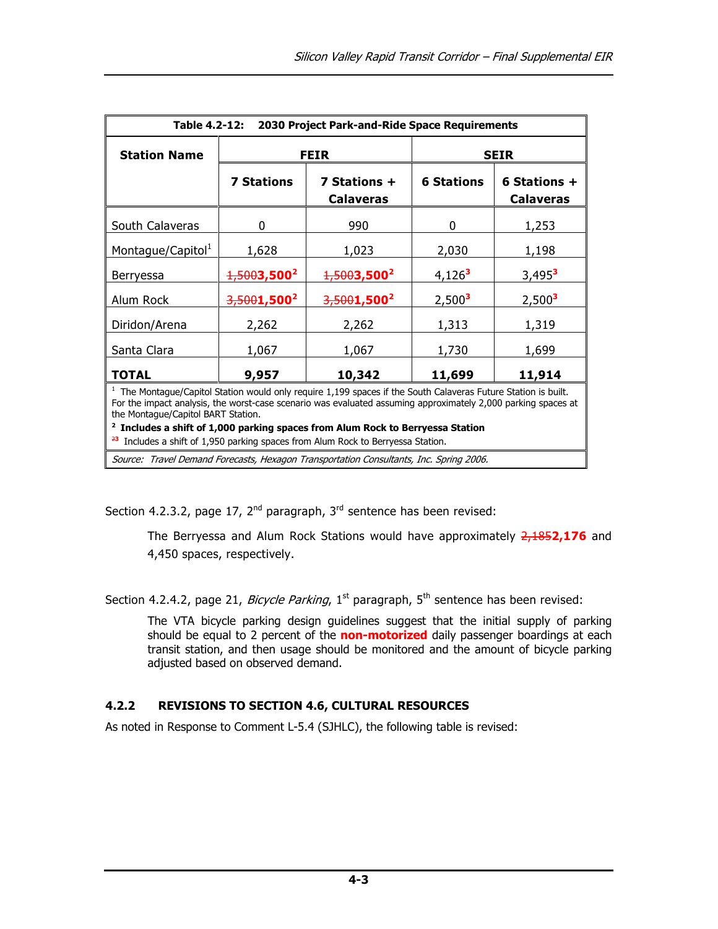| Table 4.2-12:<br>2030 Project Park-and-Ride Space Requirements                                                                                                                                                                                                          |                   |                                  |                    |                                    |  |
|-------------------------------------------------------------------------------------------------------------------------------------------------------------------------------------------------------------------------------------------------------------------------|-------------------|----------------------------------|--------------------|------------------------------------|--|
| <b>Station Name</b>                                                                                                                                                                                                                                                     | <b>FEIR</b>       |                                  | <b>SEIR</b>        |                                    |  |
|                                                                                                                                                                                                                                                                         | <b>7 Stations</b> | 7 Stations +<br><b>Calaveras</b> | <b>6 Stations</b>  | 6 Stations $+$<br><b>Calaveras</b> |  |
| South Calaveras                                                                                                                                                                                                                                                         | 0                 | 990                              | 0                  | 1,253                              |  |
| Montague/Capitol <sup>1</sup>                                                                                                                                                                                                                                           | 1,628             | 1,023                            | 2,030              | 1,198                              |  |
| Berryessa                                                                                                                                                                                                                                                               | $1,5003,500^2$    | $1,5003,500^2$                   | $4,126^3$          | $3,495^3$                          |  |
| Alum Rock                                                                                                                                                                                                                                                               | $3,5001,500^2$    | $3,5001,500^2$                   | 2,500 <sup>3</sup> | 2,500 <sup>3</sup>                 |  |
| Diridon/Arena                                                                                                                                                                                                                                                           | 2,262             | 2,262                            | 1,313              | 1,319                              |  |
| Santa Clara                                                                                                                                                                                                                                                             | 1,067             | 1,067                            | 1,730              | 1,699                              |  |
| <b>TOTAL</b>                                                                                                                                                                                                                                                            | 9,957             | 10,342                           | 11,699             | 11,914                             |  |
| $1$ The Montague/Capitol Station would only require 1,199 spaces if the South Calaveras Future Station is built.<br>For the impact analysis, the worst-case scenario was evaluated assuming approximately 2,000 parking spaces at<br>the Montague/Capitol BART Station. |                   |                                  |                    |                                    |  |

 $2$  Includes a shift of 1,000 parking spaces from Alum Rock to Berryessa Station

 $23$  Includes a shift of 1,950 parking spaces from Alum Rock to Berryessa Station.

Source: Travel Demand Forecasts, Hexagon Transportation Consultants, Inc. Spring 2006.

Section 4.2.3.2, page 17,  $2^{nd}$  paragraph,  $3^{rd}$  sentence has been revised:

The Berryessa and Alum Rock Stations would have approximately  $2,1852,176$  and 4,450 spaces, respectively.

Section 4.2.4.2, page 21, *Bicycle Parking*,  $1^{st}$  paragraph,  $5^{th}$  sentence has been revised:

The VTA bicycle parking design guidelines suggest that the initial supply of parking should be equal to 2 percent of the non-motorized daily passenger boardings at each transit station, and then usage should be monitored and the amount of bicycle parking adjusted based on observed demand.

## 4.2.2 REVISIONS TO SECTION 4.6, CULTURAL RESOURCES

As noted in Response to Comment L-5.4 (SJHLC), the following table is revised: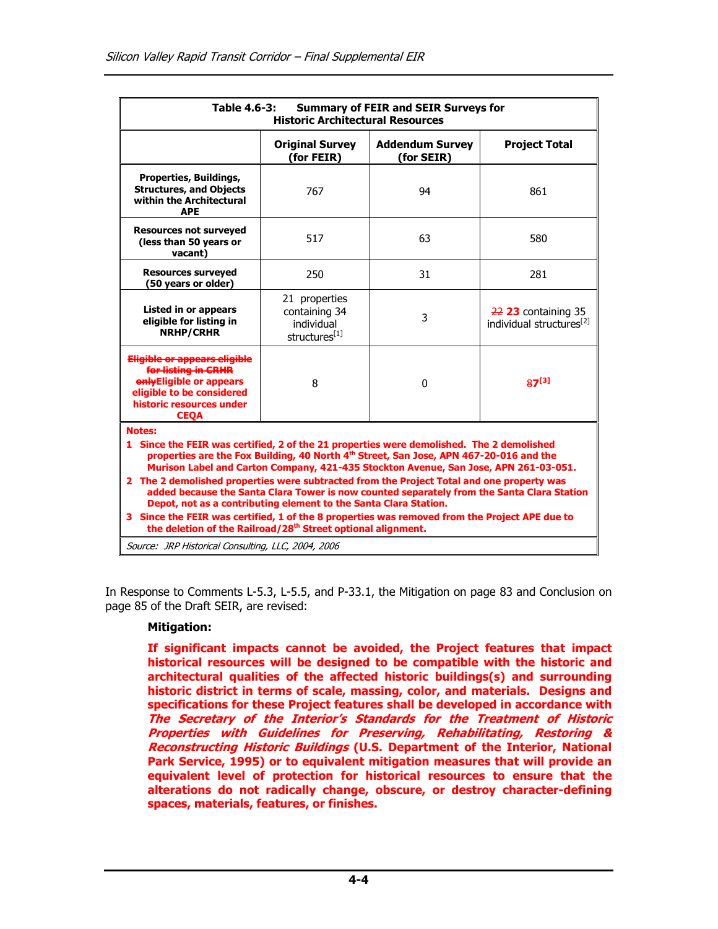| Table 4.6-3:<br><b>Summary of FEIR and SEIR Surveys for</b><br><b>Historic Architectural Resources</b>                                                                                                                                                                                                                                                                                                                                                                                                                                                                                                                                                                                                                                  |                                                               |                                      |                                                               |  |
|-----------------------------------------------------------------------------------------------------------------------------------------------------------------------------------------------------------------------------------------------------------------------------------------------------------------------------------------------------------------------------------------------------------------------------------------------------------------------------------------------------------------------------------------------------------------------------------------------------------------------------------------------------------------------------------------------------------------------------------------|---------------------------------------------------------------|--------------------------------------|---------------------------------------------------------------|--|
|                                                                                                                                                                                                                                                                                                                                                                                                                                                                                                                                                                                                                                                                                                                                         | <b>Original Survey</b><br>(for FEIR)                          | <b>Addendum Survey</b><br>(for SEIR) | <b>Project Total</b>                                          |  |
| <b>Properties, Buildings,</b><br><b>Structures, and Objects</b><br>within the Architectural<br><b>APE</b>                                                                                                                                                                                                                                                                                                                                                                                                                                                                                                                                                                                                                               | 767                                                           | 94                                   | 861                                                           |  |
| <b>Resources not surveyed</b><br>(less than 50 years or<br>vacant)                                                                                                                                                                                                                                                                                                                                                                                                                                                                                                                                                                                                                                                                      | 517                                                           | 63                                   | 580                                                           |  |
| <b>Resources surveyed</b><br>(50 years or older)                                                                                                                                                                                                                                                                                                                                                                                                                                                                                                                                                                                                                                                                                        | 250                                                           | 31                                   | 281                                                           |  |
| Listed in or appears<br>eligible for listing in<br><b>NRHP/CRHR</b>                                                                                                                                                                                                                                                                                                                                                                                                                                                                                                                                                                                                                                                                     | 21 properties<br>containing 34<br>individual<br>structures[1] | 3                                    | $22$ 23 containing 35<br>individual structures <sup>[2]</sup> |  |
| Eligible or appears eligible<br>for listing in CRHR<br>onlyEligible or appears<br>eligible to be considered<br>historic resources under<br><b>CEOA</b>                                                                                                                                                                                                                                                                                                                                                                                                                                                                                                                                                                                  | 8                                                             | $\Omega$                             | $87^{[3]}$                                                    |  |
| <b>Notes:</b><br>1 Since the FEIR was certified, 2 of the 21 properties were demolished. The 2 demolished<br>properties are the Fox Building, 40 North 4th Street, San Jose, APN 467-20-016 and the<br>Murison Label and Carton Company, 421-435 Stockton Avenue, San Jose, APN 261-03-051.<br>2 The 2 demolished properties were subtracted from the Project Total and one property was<br>added because the Santa Clara Tower is now counted separately from the Santa Clara Station<br>Depot, not as a contributing element to the Santa Clara Station.<br>3 Since the FEIR was certified, 1 of the 8 properties was removed from the Project APE due to<br>the deletion of the Railroad/28 <sup>th</sup> Street optional alignment. |                                                               |                                      |                                                               |  |
| Source: JRP Historical Consulting, LLC, 2004, 2006                                                                                                                                                                                                                                                                                                                                                                                                                                                                                                                                                                                                                                                                                      |                                                               |                                      |                                                               |  |

In Response to Comments L-5.3, L-5.5, and P-33.1, the Mitigation on page 83 and Conclusion on page 85 of the Draft SEIR, are revised:

#### Mitigation:

If significant impacts cannot be avoided, the Project features that impact historical resources will be designed to be compatible with the historic and architectural qualities of the affected historic buildings(s) and surrounding historic district in terms of scale, massing, color, and materials. Designs and specifications for these Project features shall be developed in accordance with The Secretary of the Interior's Standards for the Treatment of Historic Properties with Guidelines for Preserving, Rehabilitating, Restoring & Reconstructing Historic Buildings (U.S. Department of the Interior, National Park Service, 1995) or to equivalent mitigation measures that will provide an equivalent level of protection for historical resources to ensure that the alterations do not radically change, obscure, or destroy character-defining spaces, materials, features, or finishes.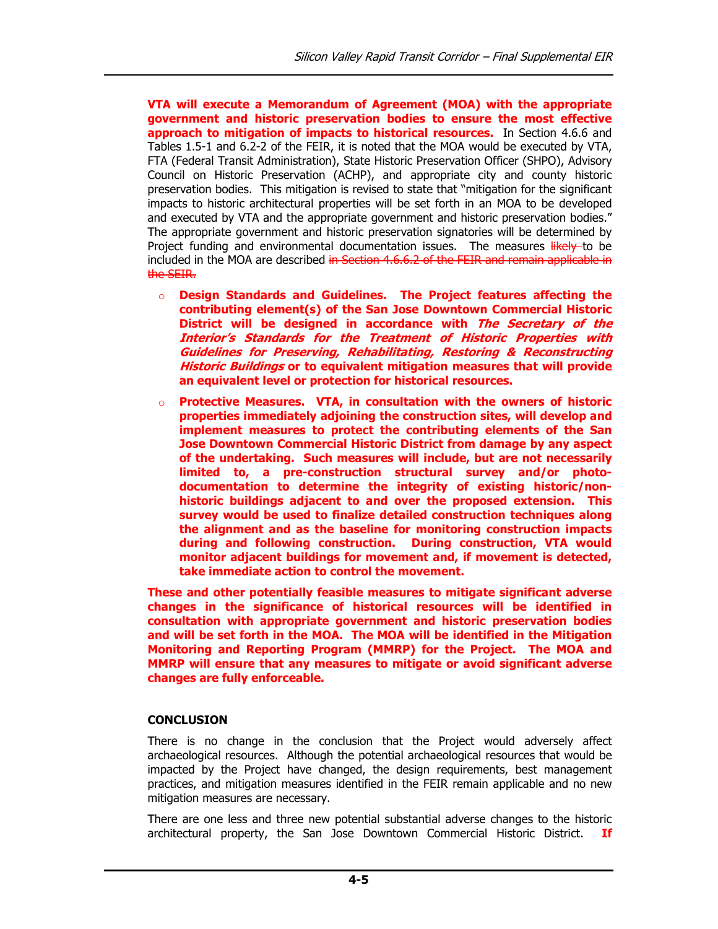VTA will execute a Memorandum of Agreement (MOA) with the appropriate government and historic preservation bodies to ensure the most effective approach to mitigation of impacts to historical resources. In Section 4.6.6 and Tables 1.5-1 and 6.2-2 of the FEIR, it is noted that the MOA would be executed by VTA, FTA (Federal Transit Administration), State Historic Preservation Officer (SHPO), Advisory Council on Historic Preservation (ACHP), and appropriate city and county historic preservation bodies. This mitigation is revised to state that "mitigation for the significant impacts to historic architectural properties will be set forth in an MOA to be developed and executed by VTA and the appropriate government and historic preservation bodies." The appropriate government and historic preservation signatories will be determined by Project funding and environmental documentation issues. The measures likely to be included in the MOA are described in Section 4.6.6.2 of the FEIR and remain applicable in the SEIR.

- o Design Standards and Guidelines. The Project features affecting the contributing element(s) of the San Jose Downtown Commercial Historic District will be designed in accordance with The Secretary of the Interior's Standards for the Treatment of Historic Properties with Guidelines for Preserving, Rehabilitating, Restoring & Reconstructing Historic Buildings or to equivalent mitigation measures that will provide an equivalent level or protection for historical resources.
- $\circ$  Protective Measures. VTA, in consultation with the owners of historic properties immediately adjoining the construction sites, will develop and implement measures to protect the contributing elements of the San Jose Downtown Commercial Historic District from damage by any aspect of the undertaking. Such measures will include, but are not necessarily limited to, a pre-construction structural survey and/or photodocumentation to determine the integrity of existing historic/nonhistoric buildings adjacent to and over the proposed extension. This survey would be used to finalize detailed construction techniques along the alignment and as the baseline for monitoring construction impacts during and following construction. During construction, VTA would monitor adjacent buildings for movement and, if movement is detected, take immediate action to control the movement.

These and other potentially feasible measures to mitigate significant adverse changes in the significance of historical resources will be identified in consultation with appropriate government and historic preservation bodies and will be set forth in the MOA. The MOA will be identified in the Mitigation Monitoring and Reporting Program (MMRP) for the Project. The MOA and MMRP will ensure that any measures to mitigate or avoid significant adverse changes are fully enforceable.

## **CONCLUSION**

There is no change in the conclusion that the Project would adversely affect archaeological resources. Although the potential archaeological resources that would be impacted by the Project have changed, the design requirements, best management practices, and mitigation measures identified in the FEIR remain applicable and no new mitigation measures are necessary.

There are one less and three new potential substantial adverse changes to the historic architectural property, the San Jose Downtown Commercial Historic District. If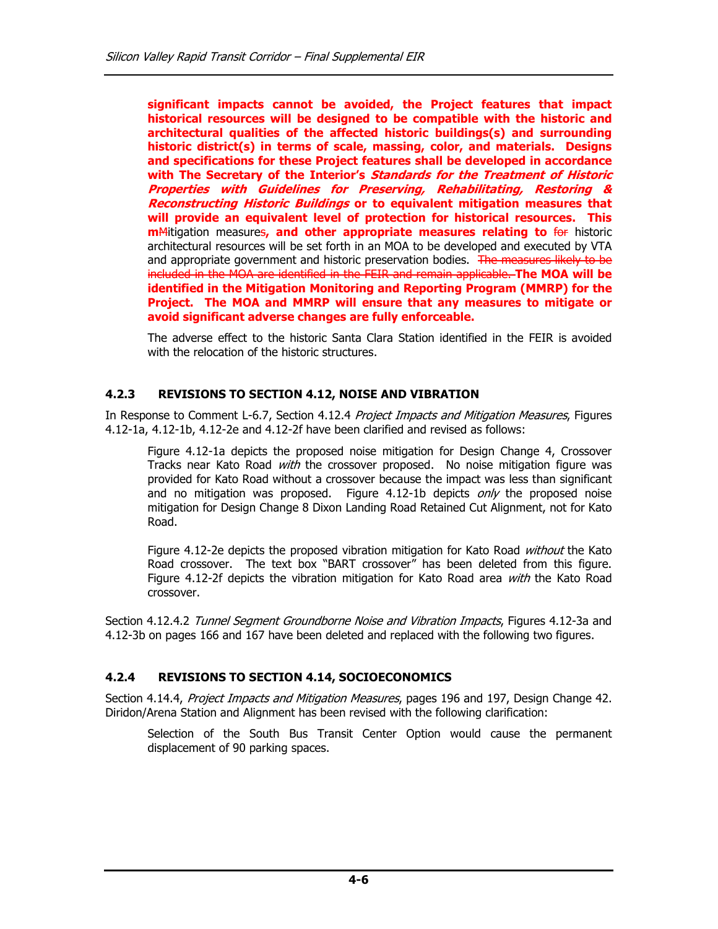significant impacts cannot be avoided, the Project features that impact historical resources will be designed to be compatible with the historic and architectural qualities of the affected historic buildings(s) and surrounding historic district(s) in terms of scale, massing, color, and materials. Designs and specifications for these Project features shall be developed in accordance with The Secretary of the Interior's Standards for the Treatment of Historic Properties with Guidelines for Preserving, Rehabilitating, Restoring & Reconstructing Historic Buildings or to equivalent mitigation measures that will provide an equivalent level of protection for historical resources. This mMitigation measures, and other appropriate measures relating to for historic architectural resources will be set forth in an MOA to be developed and executed by VTA and appropriate government and historic preservation bodies. The measures likely to be included in the MOA are identified in the FEIR and remain applicable. The MOA will be identified in the Mitigation Monitoring and Reporting Program (MMRP) for the Project. The MOA and MMRP will ensure that any measures to mitigate or avoid significant adverse changes are fully enforceable.

The adverse effect to the historic Santa Clara Station identified in the FEIR is avoided with the relocation of the historic structures.

#### 4.2.3 REVISIONS TO SECTION 4.12, NOISE AND VIBRATION

In Response to Comment L-6.7, Section 4.12.4 Project Impacts and Mitigation Measures, Figures 4.12-1a, 4.12-1b, 4.12-2e and 4.12-2f have been clarified and revised as follows:

Figure 4.12-1a depicts the proposed noise mitigation for Design Change 4, Crossover Tracks near Kato Road with the crossover proposed. No noise mitigation figure was provided for Kato Road without a crossover because the impact was less than significant and no mitigation was proposed. Figure 4.12-1b depicts  $on/y$  the proposed noise mitigation for Design Change 8 Dixon Landing Road Retained Cut Alignment, not for Kato Road.

Figure 4.12-2e depicts the proposed vibration mitigation for Kato Road without the Kato Road crossover. The text box "BART crossover" has been deleted from this figure. Figure 4.12-2f depicts the vibration mitigation for Kato Road area with the Kato Road crossover.

Section 4.12.4.2 Tunnel Segment Groundborne Noise and Vibration Impacts, Figures 4.12-3a and 4.12-3b on pages 166 and 167 have been deleted and replaced with the following two figures.

#### 4.2.4 REVISIONS TO SECTION 4.14, SOCIOECONOMICS

Section 4.14.4, Project Impacts and Mitigation Measures, pages 196 and 197, Design Change 42. Diridon/Arena Station and Alignment has been revised with the following clarification:

Selection of the South Bus Transit Center Option would cause the permanent displacement of 90 parking spaces.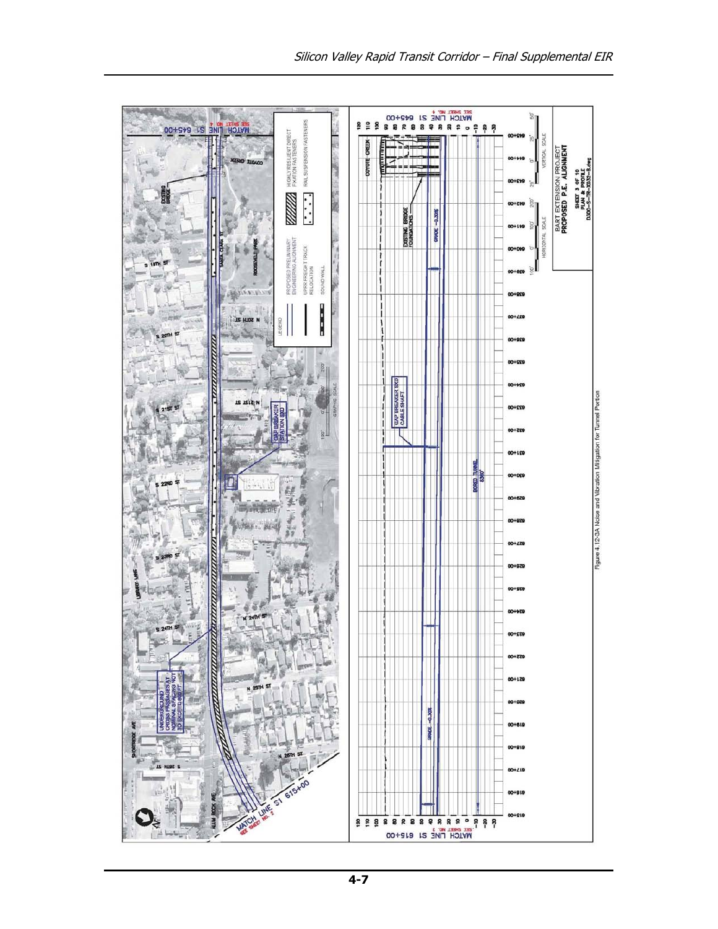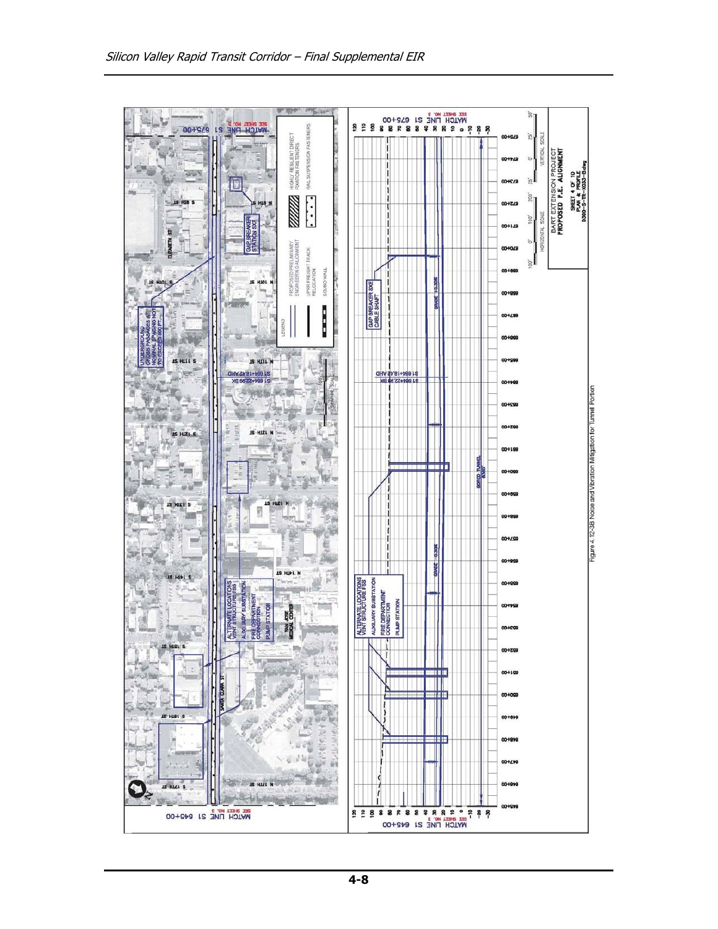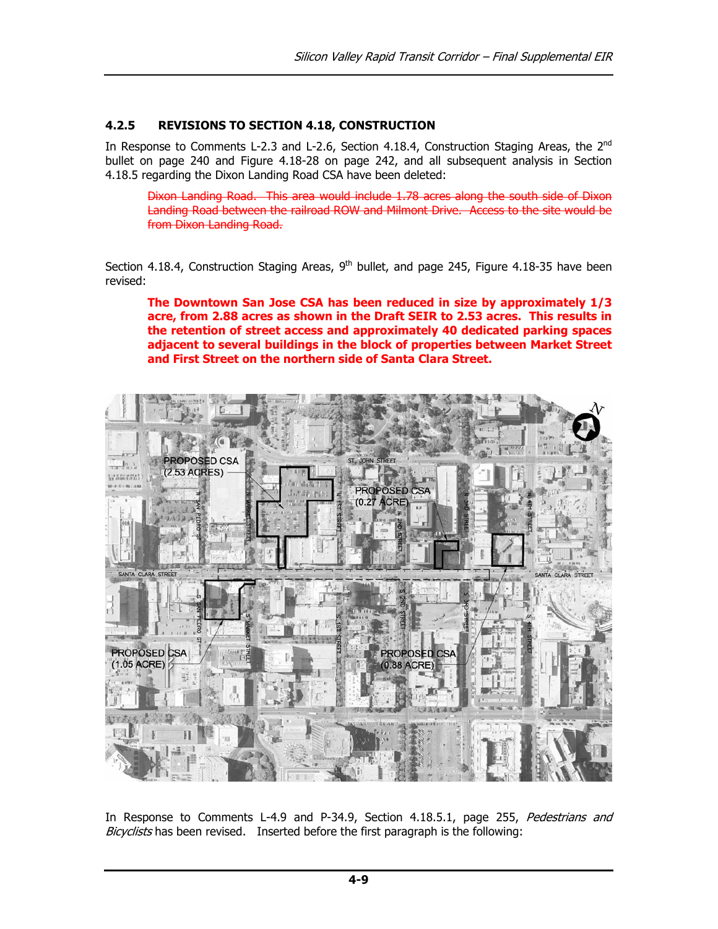#### 4.2.5 REVISIONS TO SECTION 4.18, CONSTRUCTION

In Response to Comments L-2.3 and L-2.6, Section 4.18.4, Construction Staging Areas, the  $2^{nd}$ bullet on page 240 and Figure 4.18-28 on page 242, and all subsequent analysis in Section 4.18.5 regarding the Dixon Landing Road CSA have been deleted:

Dixon Landing Road. This area would include 1.78 acres along the south side of Dixon Landing Road between the railroad ROW and Milmont Drive. Access to the site would be from Dixon Landing Road.

Section 4.18.4, Construction Staging Areas,  $9<sup>th</sup>$  bullet, and page 245, Figure 4.18-35 have been revised:

The Downtown San Jose CSA has been reduced in size by approximately 1/3 acre, from 2.88 acres as shown in the Draft SEIR to 2.53 acres. This results in the retention of street access and approximately 40 dedicated parking spaces adjacent to several buildings in the block of properties between Market Street and First Street on the northern side of Santa Clara Street.



In Response to Comments L-4.9 and P-34.9, Section 4.18.5.1, page 255, Pedestrians and Bicyclists has been revised. Inserted before the first paragraph is the following: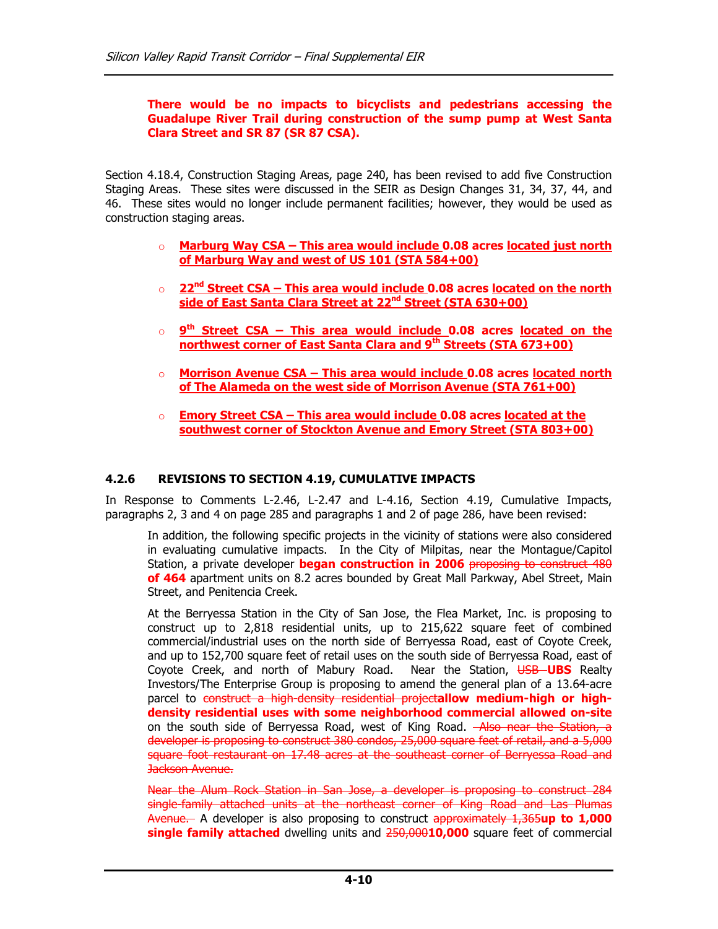#### There would be no impacts to bicyclists and pedestrians accessing the Guadalupe River Trail during construction of the sump pump at West Santa Clara Street and SR 87 (SR 87 CSA).

Section 4.18.4, Construction Staging Areas, page 240, has been revised to add five Construction Staging Areas. These sites were discussed in the SEIR as Design Changes 31, 34, 37, 44, and 46. These sites would no longer include permanent facilities; however, they would be used as construction staging areas.

- o Marburg Way CSA This area would include 0.08 acres located just north of Marburg Way and west of US 101 (STA 584+00)
- $22<sup>nd</sup> Street CSA This area would include 0.08 acres located on the north$ side of East Santa Clara Street at 22<sup>nd</sup> Street (STA 630+00)
- o 9<sup>th</sup> Street CSA This area would include 0.08 acres located on the northwest corner of East Santa Clara and 9<sup>th</sup> Streets (STA 673+00)
- o Morrison Avenue CSA This area would include 0.08 acres located north of The Alameda on the west side of Morrison Avenue (STA 761+00)
- $\circ$  Emory Street CSA This area would include 0.08 acres located at the southwest corner of Stockton Avenue and Emory Street (STA 803+00)

#### 4.2.6 REVISIONS TO SECTION 4.19, CUMULATIVE IMPACTS

In Response to Comments L-2.46, L-2.47 and L-4.16, Section 4.19, Cumulative Impacts, paragraphs 2, 3 and 4 on page 285 and paragraphs 1 and 2 of page 286, have been revised:

In addition, the following specific projects in the vicinity of stations were also considered in evaluating cumulative impacts. In the City of Milpitas, near the Montague/Capitol Station, a private developer **began construction in 2006** proposing to construct 480 of 464 apartment units on 8.2 acres bounded by Great Mall Parkway, Abel Street, Main Street, and Penitencia Creek.

At the Berryessa Station in the City of San Jose, the Flea Market, Inc. is proposing to construct up to 2,818 residential units, up to 215,622 square feet of combined commercial/industrial uses on the north side of Berryessa Road, east of Coyote Creek, and up to 152,700 square feet of retail uses on the south side of Berryessa Road, east of Coyote Creek, and north of Mabury Road. Near the Station, USB UBS Realty Investors/The Enterprise Group is proposing to amend the general plan of a 13.64-acre parcel to construct a high-density residential projectallow medium-high or highdensity residential uses with some neighborhood commercial allowed on-site on the south side of Berryessa Road, west of King Road. Also near the Station, a developer is proposing to construct 380 condos, 25,000 square feet of retail, and a 5,000 square foot restaurant on 17.48 acres at the southeast corner of Berryessa Road and Jackson Avenue.

Near the Alum Rock Station in San Jose, a developer is proposing to construct 284 single-family attached units at the northeast corner of King Road and Las Plumas Avenue. A developer is also proposing to construct approximately 1,365up to 1,000 single family attached dwelling units and 250,00010,000 square feet of commercial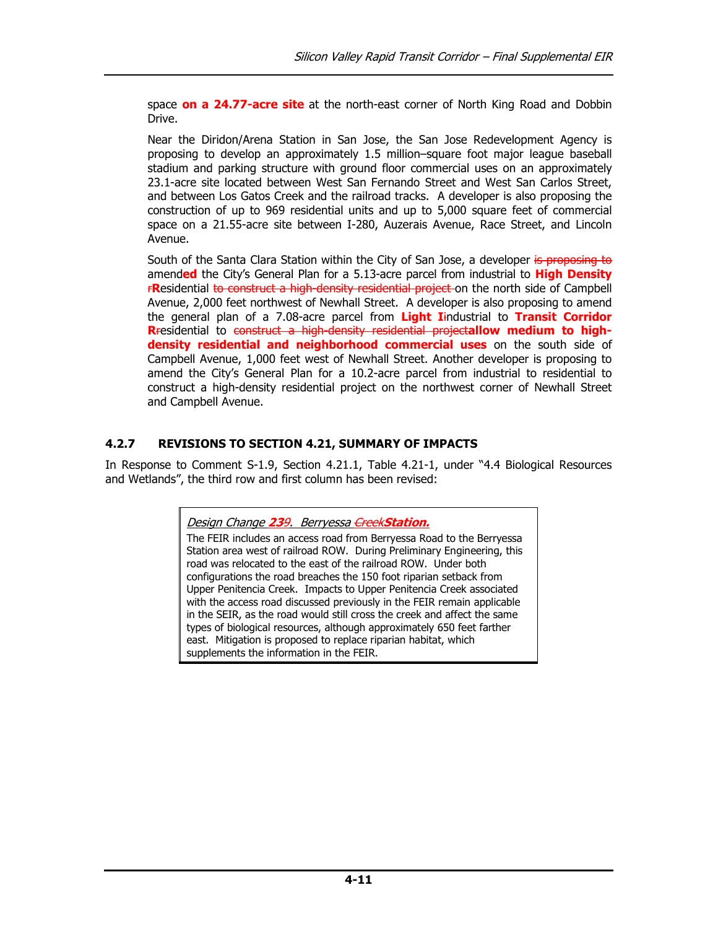space **on a 24.77-acre site** at the north-east corner of North King Road and Dobbin Drive.

Near the Diridon/Arena Station in San Jose, the San Jose Redevelopment Agency is proposing to develop an approximately 1.5 million–square foot major league baseball stadium and parking structure with ground floor commercial uses on an approximately 23.1-acre site located between West San Fernando Street and West San Carlos Street, and between Los Gatos Creek and the railroad tracks. A developer is also proposing the construction of up to 969 residential units and up to 5,000 square feet of commercial space on a 21.55-acre site between I-280, Auzerais Avenue, Race Street, and Lincoln Avenue.

South of the Santa Clara Station within the City of San Jose, a developer is proposing to amended the City's General Plan for a 5.13-acre parcel from industrial to High Density **FResidential to construct a high-density residential project** on the north side of Campbell Avenue, 2,000 feet northwest of Newhall Street. A developer is also proposing to amend the general plan of a 7.08-acre parcel from Light Iindustrial to Transit Corridor Rresidential to construct a high-density residential projectallow medium to highdensity residential and neighborhood commercial uses on the south side of Campbell Avenue, 1,000 feet west of Newhall Street. Another developer is proposing to amend the City's General Plan for a 10.2-acre parcel from industrial to residential to construct a high-density residential project on the northwest corner of Newhall Street and Campbell Avenue.

## 4.2.7 REVISIONS TO SECTION 4.21, SUMMARY OF IMPACTS

In Response to Comment S-1.9, Section 4.21.1, Table 4.21-1, under "4.4 Biological Resources and Wetlands", the third row and first column has been revised:

Design Change 239. Berryessa CreekStation.

The FEIR includes an access road from Berryessa Road to the Berryessa Station area west of railroad ROW. During Preliminary Engineering, this road was relocated to the east of the railroad ROW. Under both configurations the road breaches the 150 foot riparian setback from Upper Penitencia Creek. Impacts to Upper Penitencia Creek associated with the access road discussed previously in the FEIR remain applicable in the SEIR, as the road would still cross the creek and affect the same types of biological resources, although approximately 650 feet farther east. Mitigation is proposed to replace riparian habitat, which supplements the information in the FEIR.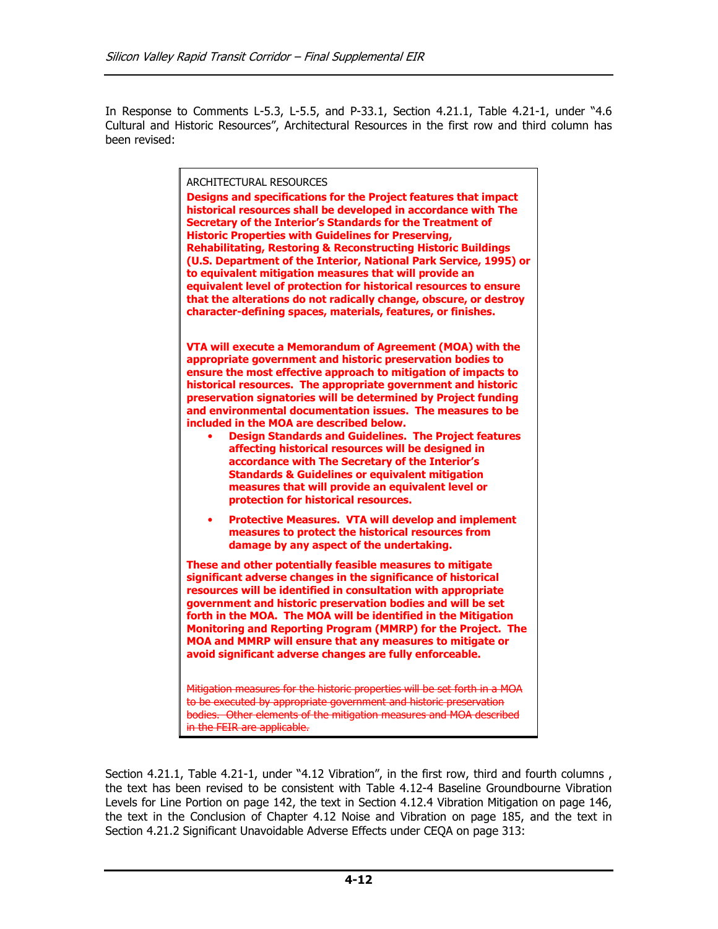In Response to Comments L-5.3, L-5.5, and P-33.1, Section 4.21.1, Table 4.21-1, under "4.6 Cultural and Historic Resources", Architectural Resources in the first row and third column has been revised:

| <b>ARCHITECTURAL RESOURCES</b><br>Designs and specifications for the Project features that impact<br>historical resources shall be developed in accordance with The<br>Secretary of the Interior's Standards for the Treatment of<br><b>Historic Properties with Guidelines for Preserving,</b><br><b>Rehabilitating, Restoring &amp; Reconstructing Historic Buildings</b><br>(U.S. Department of the Interior, National Park Service, 1995) or<br>to equivalent mitigation measures that will provide an<br>equivalent level of protection for historical resources to ensure<br>that the alterations do not radically change, obscure, or destroy<br>character-defining spaces, materials, features, or finishes.                                                       |
|----------------------------------------------------------------------------------------------------------------------------------------------------------------------------------------------------------------------------------------------------------------------------------------------------------------------------------------------------------------------------------------------------------------------------------------------------------------------------------------------------------------------------------------------------------------------------------------------------------------------------------------------------------------------------------------------------------------------------------------------------------------------------|
| VTA will execute a Memorandum of Agreement (MOA) with the<br>appropriate government and historic preservation bodies to<br>ensure the most effective approach to mitigation of impacts to<br>historical resources. The appropriate government and historic<br>preservation signatories will be determined by Project funding<br>and environmental documentation issues. The measures to be<br>included in the MOA are described below.<br><b>Design Standards and Guidelines. The Project features</b><br>affecting historical resources will be designed in<br>accordance with The Secretary of the Interior's<br><b>Standards &amp; Guidelines or equivalent mitigation</b><br>measures that will provide an equivalent level or<br>protection for historical resources. |
| <b>Protective Measures. VTA will develop and implement</b><br>measures to protect the historical resources from<br>damage by any aspect of the undertaking.                                                                                                                                                                                                                                                                                                                                                                                                                                                                                                                                                                                                                |
| These and other potentially feasible measures to mitigate<br>significant adverse changes in the significance of historical<br>resources will be identified in consultation with appropriate<br>government and historic preservation bodies and will be set<br>forth in the MOA. The MOA will be identified in the Mitigation<br>Monitoring and Reporting Program (MMRP) for the Project. The<br>MOA and MMRP will ensure that any measures to mitigate or<br>avoid significant adverse changes are fully enforceable.                                                                                                                                                                                                                                                      |
| Mitigation measures for the historic properties will be set forth in a MOA<br>to be executed by appropriate government and historic preservation<br>bodies. Other elements of the mitigation measures and MOA described<br>in the FEIR are applicable.                                                                                                                                                                                                                                                                                                                                                                                                                                                                                                                     |

Section 4.21.1, Table 4.21-1, under "4.12 Vibration", in the first row, third and fourth columns, the text has been revised to be consistent with Table 4.12-4 Baseline Groundbourne Vibration Levels for Line Portion on page 142, the text in Section 4.12.4 Vibration Mitigation on page 146, the text in the Conclusion of Chapter 4.12 Noise and Vibration on page 185, and the text in Section 4.21.2 Significant Unavoidable Adverse Effects under CEQA on page 313: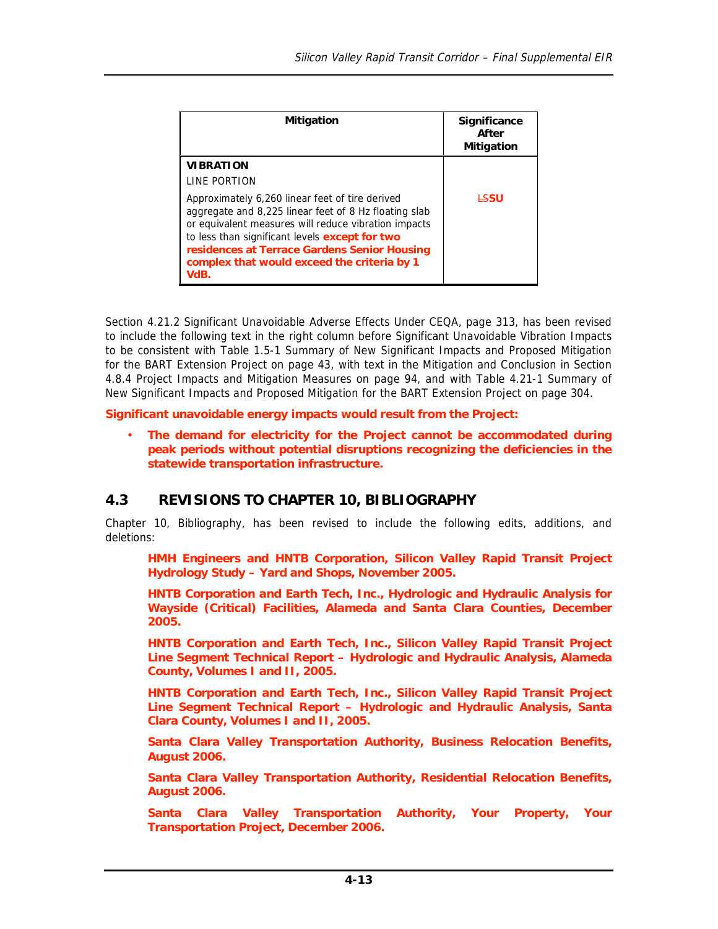| <b>Mitigation</b>                                                                                                                                                                                                                                                                                                         | <b>Significance</b><br>After<br><b>Mitigation</b> |
|---------------------------------------------------------------------------------------------------------------------------------------------------------------------------------------------------------------------------------------------------------------------------------------------------------------------------|---------------------------------------------------|
| <b>VIBRATION</b><br>LINE PORTION                                                                                                                                                                                                                                                                                          |                                                   |
| Approximately 6,260 linear feet of tire derived<br>aggregate and 8,225 linear feet of 8 Hz floating slab<br>or equivalent measures will reduce vibration impacts<br>to less than significant levels except for two<br>residences at Terrace Gardens Senior Housing<br>complex that would exceed the criteria by 1<br>VdB. | <b>ESSU</b>                                       |

Section 4.21.2 Significant Unavoidable Adverse Effects Under CEQA, page 313, has been revised to include the following text in the right column before Significant Unavoidable Vibration Impacts to be consistent with Table 1.5-1 Summary of New Significant Impacts and Proposed Mitigation for the BART Extension Project on page 43, with text in the Mitigation and Conclusion in Section 4.8.4 Project Impacts and Mitigation Measures on page 94, and with Table 4.21-1 Summary of New Significant Impacts and Proposed Mitigation for the BART Extension Project on page 304.

**Significant unavoidable energy impacts would result from the Project:** 

• **The demand for electricity for the Project cannot be accommodated during peak periods without potential disruptions recognizing the deficiencies in the statewide transportation infrastructure.** 

# **4.3 REVISIONS TO CHAPTER 10, BIBLIOGRAPHY**

Chapter 10, Bibliography, has been revised to include the following edits, additions, and deletions:

**HMH Engineers and HNTB Corporation, Silicon Valley Rapid Transit Project Hydrology Study – Yard and Shops, November 2005.** 

**HNTB Corporation and Earth Tech, Inc., Hydrologic and Hydraulic Analysis for Wayside (Critical) Facilities, Alameda and Santa Clara Counties, December 2005.** 

**HNTB Corporation and Earth Tech, Inc., Silicon Valley Rapid Transit Project Line Segment Technical Report – Hydrologic and Hydraulic Analysis, Alameda County, Volumes I and II, 2005.** 

**HNTB Corporation and Earth Tech, Inc., Silicon Valley Rapid Transit Project Line Segment Technical Report – Hydrologic and Hydraulic Analysis, Santa Clara County, Volumes I and II, 2005.** 

**Santa Clara Valley Transportation Authority, Business Relocation Benefits, August 2006.** 

**Santa Clara Valley Transportation Authority, Residential Relocation Benefits, August 2006.** 

**Santa Clara Valley Transportation Authority, Your Property, Your Transportation Project, December 2006.**